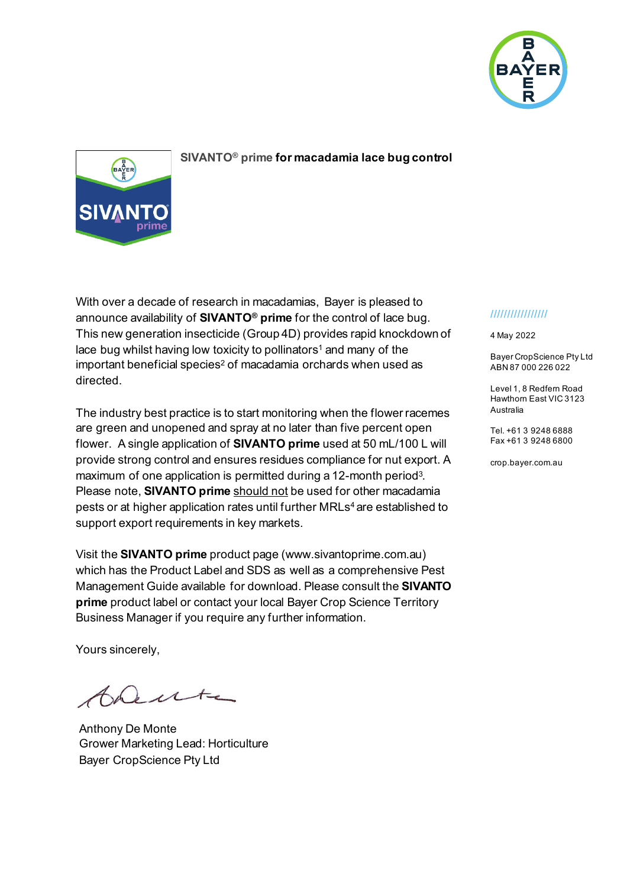

## **SIVANTO® prime for macadamia lace bug control**

With over a decade of research in macadamias, Bayer is pleased to announce availability of **SIVANTO® prime** for the control of lace bug. This new generation insecticide (Group 4D) provides rapid knockdown of lace bug whilst having low toxicity to pollinators<sup>1</sup> and many of the important beneficial species<sup>2</sup> of macadamia orchards when used as directed.

The industry best practice is to start monitoring when the flower racemes are green and unopened and spray at no later than five percent open flower. A single application of **SIVANTO prime** used at 50 mL/100 L will provide strong control and ensures residues compliance for nut export. A maximum of one application is permitted during a 12-month period<sup>3</sup>. Please note, **SIVANTO prime** should not be used for other macadamia pests or at higher application rates until further MRLs<sup>4</sup> are established to support export requirements in key markets.

Visit the **SIVANTO prime** product page [\(www.sivantoprime.com.au\)](http://www.sivantoprime.com.au/) which has the Product Label and SDS as well as a comprehensive Pest Management Guide available for download. Please consult the **SIVANTO prime** product label or contact your local Bayer Crop Science Territory Business Manager if you require any further information.

Yours sincerely,

Dente

Anthony De Monte Grower Marketing Lead: Horticulture Bayer CropScience Pty Ltd

## /////////////////

4 May 2022

Bayer CropScience Pty Ltd ABN 87 000 226 022

Level 1, 8 Redfern Road Hawthorn East VIC 3123 Australia

Tel. +61 3 9248 6888 Fax +61 3 9248 6800

crop.bayer.com.au